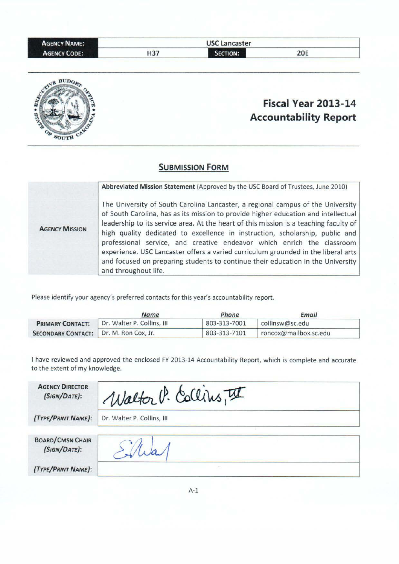| <b>AGENCY NAME:</b> | <b>USC Lancaster</b> |          |     |  |  |  |
|---------------------|----------------------|----------|-----|--|--|--|
| <b>AGENCY CODE:</b> | H37                  | SECTION: | 20E |  |  |  |



# **Fiscal Year 2013-14 Accountability Report**

# **SUBMISSION FORM**

|                       | Abbreviated Mission Statement (Approved by the USC Board of Trustees, June 2010)                                                                                                                                                                                                                                                                                                                                                                                                                                                                                                                                         |
|-----------------------|--------------------------------------------------------------------------------------------------------------------------------------------------------------------------------------------------------------------------------------------------------------------------------------------------------------------------------------------------------------------------------------------------------------------------------------------------------------------------------------------------------------------------------------------------------------------------------------------------------------------------|
| <b>AGENCY MISSION</b> | The University of South Carolina Lancaster, a regional campus of the University<br>of South Carolina, has as its mission to provide higher education and intellectual<br>leadership to its service area. At the heart of this mission is a teaching faculty of<br>high quality dedicated to excellence in instruction, scholarship, public and<br>professional service, and creative endeavor which enrich the classroom<br>experience. USC Lancaster offers a varied curriculum grounded in the liberal arts<br>and focused on preparing students to continue their education in the University<br>and throughout life. |

Please identify your agency's preferred contacts for this year's accountability report.

|                                        | Name                       | Phone        | <b>Email</b>          |
|----------------------------------------|----------------------------|--------------|-----------------------|
| <b>PRIMARY CONTACT:</b>                | Dr. Walter P. Collins, III | 803-313-7001 | collinsw@sc.edu       |
| SECONDARY CONTACT: Dr. M. Ron Cox, Jr. |                            | 803-313-7101 | roncox@mailbox.sc.edu |

I have reviewed and approved the enclosed FY 2013-14 Accountability Report, which is complete and accurate to the extent of my knowledge.

| <b>AGENCY DIRECTOR</b><br>(SIGN/DATE):  | Walter P. Collins, II      |
|-----------------------------------------|----------------------------|
| (TYPE/PRINT NAME):                      | Dr. Walter P. Collins, III |
| <b>BOARD/CMSN CHAIR</b><br>(SIGN/DATE): |                            |
| (TYPE/PRINT NAME):                      |                            |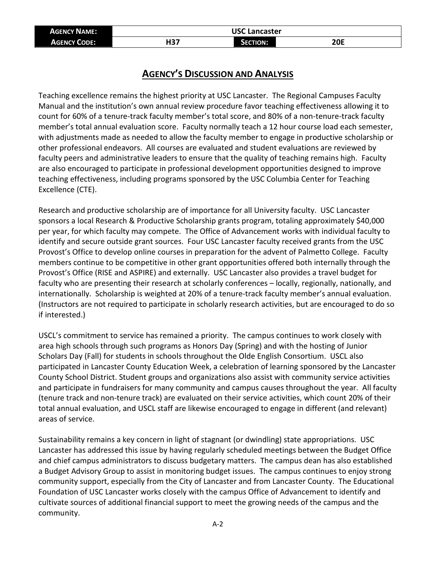| <b>AGENCY NAME:</b> | <b>USC Lancaster</b> |          |            |  |  |  |  |  |
|---------------------|----------------------|----------|------------|--|--|--|--|--|
| <b>AGENCY CODE:</b> | H <sub>37</sub>      | SECTION: | <b>20E</b> |  |  |  |  |  |

# **AGENCY'S DISCUSSION AND ANALYSIS**

Teaching excellence remains the highest priority at USC Lancaster. The Regional Campuses Faculty Manual and the institution's own annual review procedure favor teaching effectiveness allowing it to count for 60% of a tenure-track faculty member's total score, and 80% of a non-tenure-track faculty member's total annual evaluation score. Faculty normally teach a 12 hour course load each semester, with adjustments made as needed to allow the faculty member to engage in productive scholarship or other professional endeavors. All courses are evaluated and student evaluations are reviewed by faculty peers and administrative leaders to ensure that the quality of teaching remains high. Faculty are also encouraged to participate in professional development opportunities designed to improve teaching effectiveness, including programs sponsored by the USC Columbia Center for Teaching Excellence (CTE).

Research and productive scholarship are of importance for all University faculty. USC Lancaster sponsors a local Research & Productive Scholarship grants program, totaling approximately \$40,000 per year, for which faculty may compete. The Office of Advancement works with individual faculty to identify and secure outside grant sources. Four USC Lancaster faculty received grants from the USC Provost's Office to develop online courses in preparation for the advent of Palmetto College. Faculty members continue to be competitive in other grant opportunities offered both internally through the Provost's Office (RISE and ASPIRE) and externally. USC Lancaster also provides a travel budget for faculty who are presenting their research at scholarly conferences – locally, regionally, nationally, and internationally. Scholarship is weighted at 20% of a tenure-track faculty member's annual evaluation. (Instructors are not required to participate in scholarly research activities, but are encouraged to do so if interested.)

USCL's commitment to service has remained a priority. The campus continues to work closely with area high schools through such programs as Honors Day (Spring) and with the hosting of Junior Scholars Day (Fall) for students in schools throughout the Olde English Consortium. USCL also participated in Lancaster County Education Week, a celebration of learning sponsored by the Lancaster County School District. Student groups and organizations also assist with community service activities and participate in fundraisers for many community and campus causes throughout the year. All faculty (tenure track and non-tenure track) are evaluated on their service activities, which count 20% of their total annual evaluation, and USCL staff are likewise encouraged to engage in different (and relevant) areas of service.

Sustainability remains a key concern in light of stagnant (or dwindling) state appropriations. USC Lancaster has addressed this issue by having regularly scheduled meetings between the Budget Office and chief campus administrators to discuss budgetary matters. The campus dean has also established a Budget Advisory Group to assist in monitoring budget issues. The campus continues to enjoy strong community support, especially from the City of Lancaster and from Lancaster County. The Educational Foundation of USC Lancaster works closely with the campus Office of Advancement to identify and cultivate sources of additional financial support to meet the growing needs of the campus and the community.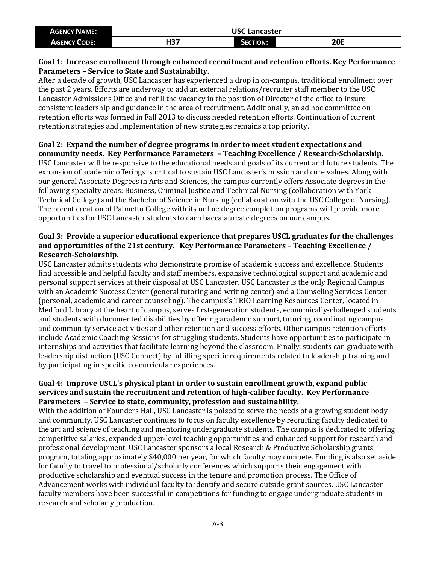| <b>AGENCY NAME:</b> | <b>USC Lancaster</b> |                 |            |  |  |  |  |  |
|---------------------|----------------------|-----------------|------------|--|--|--|--|--|
| <b>AGENCY CODE:</b> | 1197<br>65 I         | <b>SECTION:</b> | חחר<br>ZUL |  |  |  |  |  |

#### **Goal 1: Increase enrollment through enhanced recruitment and retention efforts. Key Performance Parameters – Service to State and Sustainabilty.**

After a decade of growth, USC Lancaster has experienced a drop in on-campus, traditional enrollment over the past 2 years. Efforts are underway to add an external relations/recruiter staff member to the USC Lancaster Admissions Office and refill the vacancy in the position of Director of the office to insure consistent leadership and guidance in the area of recruitment. Additionally, an ad hoc committee on retention efforts was formed in Fall 2013 to discuss needed retention efforts. Continuation of current retention strategies and implementation of new strategies remains a top priority.

## **Goal 2: Expand the number of degree programs in order to meet student expectations and community needs. Key Performance Parameters – Teaching Excellence / Research-Scholarship.**

USC Lancaster will be responsive to the educational needs and goals of its current and future students. The expansion of academic offerings is critical to sustain USC Lancaster's mission and core values. Along with our general Associate Degrees in Arts and Sciences, the campus currently offers Associate degrees in the following specialty areas: Business, Criminal Justice and Technical Nursing (collaboration with York Technical College) and the Bachelor of Science in Nursing (collaboration with the USC College of Nursing). The recent creation of Palmetto College with its online degree completion programs will provide more opportunities for USC Lancaster students to earn baccalaureate degrees on our campus.

### **Goal 3: Provide a superior educational experience that prepares USCL graduates for the challenges and opportunities of the 21st century. Key Performance Parameters – Teaching Excellence / Research-Scholarship.**

USC Lancaster admits students who demonstrate promise of academic success and excellence. Students find accessible and helpful faculty and staff members, expansive technological support and academic and personal support services at their disposal at USC Lancaster. USC Lancaster is the only Regional Campus with an Academic Success Center (general tutoring and writing center) and a Counseling Services Center (personal, academic and career counseling). The campus's TRiO Learning Resources Center, located in Medford Library at the heart of campus, serves first-generation students, economically-challenged students and students with documented disabilities by offering academic support, tutoring, coordinating campus and community service activities and other retention and success efforts. Other campus retention efforts include Academic Coaching Sessions for struggling students. Students have opportunities to participate in internships and activities that facilitate learning beyond the classroom. Finally, students can graduate with leadership distinction (USC Connect) by fulfilling specific requirements related to leadership training and by participating in specific co-curricular experiences.

#### **Goal 4: Improve USCL's physical plant in order to sustain enrollment growth, expand public services and sustain the recruitment and retention of high-caliber faculty. Key Performance Parameters – Service to state, community, profession and sustainability.**

With the addition of Founders Hall, USC Lancaster is poised to serve the needs of a growing student body and community. USC Lancaster continues to focus on faculty excellence by recruiting faculty dedicated to the art and science of teaching and mentoring undergraduate students. The campus is dedicated to offering competitive salaries, expanded upper-level teaching opportunities and enhanced support for research and professional development. USC Lancaster sponsors a local Research & Productive Scholarship grants program, totaling approximately \$40,000 per year, for which faculty may compete. Funding is also set aside for faculty to travel to professional/scholarly conferences which supports their engagement with productive scholarship and eventual success in the tenure and promotion process. The Office of Advancement works with individual faculty to identify and secure outside grant sources. USC Lancaster faculty members have been successful in competitions for funding to engage undergraduate students in research and scholarly production.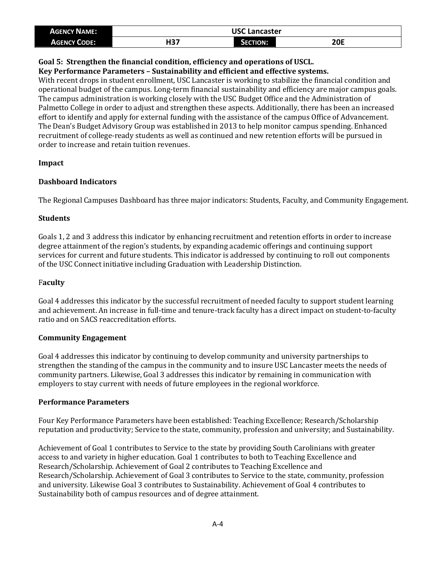| <b>AGENCY NAME:</b> | <b>USC Lancaster</b> |                 |            |  |  |  |  |
|---------------------|----------------------|-----------------|------------|--|--|--|--|
| <b>AGENCY CODE:</b> | பா<br>ر 13           | <b>SECTION:</b> | <b>20E</b> |  |  |  |  |

## **Goal 5: Strengthen the financial condition, efficiency and operations of USCL.**

#### **Key Performance Parameters – Sustainability and efficient and effective systems.**

With recent drops in student enrollment, USC Lancaster is working to stabilize the financial condition and operational budget of the campus. Long-term financial sustainability and efficiency are major campus goals. The campus administration is working closely with the USC Budget Office and the Administration of Palmetto College in order to adjust and strengthen these aspects. Additionally, there has been an increased effort to identify and apply for external funding with the assistance of the campus Office of Advancement. The Dean's Budget Advisory Group was established in 2013 to help monitor campus spending. Enhanced recruitment of college-ready students as well as continued and new retention efforts will be pursued in order to increase and retain tuition revenues.

#### **Impact**

#### **Dashboard Indicators**

The Regional Campuses Dashboard has three major indicators: Students, Faculty, and Community Engagement.

#### **Students**

Goals 1, 2 and 3 address this indicator by enhancing recruitment and retention efforts in order to increase degree attainment of the region's students, by expanding academic offerings and continuing support services for current and future students. This indicator is addressed by continuing to roll out components of the USC Connect initiative including Graduation with Leadership Distinction.

#### F**aculty**

Goal 4 addresses this indicator by the successful recruitment of needed faculty to support student learning and achievement. An increase in full-time and tenure-track faculty has a direct impact on student-to-faculty ratio and on SACS reaccreditation efforts.

#### **Community Engagement**

Goal 4 addresses this indicator by continuing to develop community and university partnerships to strengthen the standing of the campus in the community and to insure USC Lancaster meets the needs of community partners. Likewise, Goal 3 addresses this indicator by remaining in communication with employers to stay current with needs of future employees in the regional workforce.

#### **Performance Parameters**

Four Key Performance Parameters have been established: Teaching Excellence; Research/Scholarship reputation and productivity; Service to the state, community, profession and university; and Sustainability.

Achievement of Goal 1 contributes to Service to the state by providing South Carolinians with greater access to and variety in higher education. Goal 1 contributes to both to Teaching Excellence and Research/Scholarship. Achievement of Goal 2 contributes to Teaching Excellence and Research/Scholarship. Achievement of Goal 3 contributes to Service to the state, community, profession and university. Likewise Goal 3 contributes to Sustainability. Achievement of Goal 4 contributes to Sustainability both of campus resources and of degree attainment.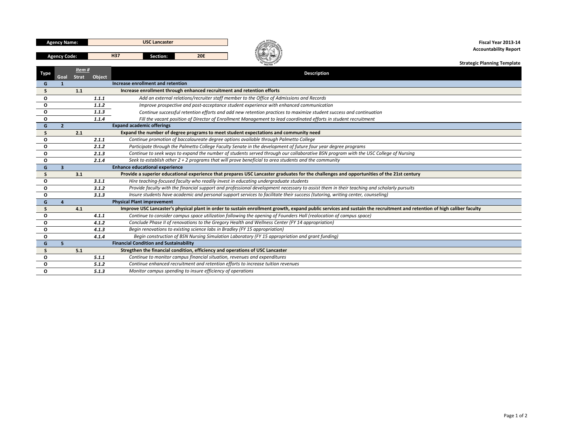| <b>Agency Name:</b> | <b>USC Lancaster</b> |                 |            |  |  |  |  |  |  |  |  |
|---------------------|----------------------|-----------------|------------|--|--|--|--|--|--|--|--|
|                     |                      |                 |            |  |  |  |  |  |  |  |  |
| <b>Agency Code:</b> | <b>H37</b>           | <b>Section:</b> | <b>20E</b> |  |  |  |  |  |  |  |  |



**Strategic Planning Template**

| <b>Type</b> | Goal           | Item#<br>Object<br>Strat | Description                                                                                                                                                            |
|-------------|----------------|--------------------------|------------------------------------------------------------------------------------------------------------------------------------------------------------------------|
| G           |                |                          | Increase enrollment and retention                                                                                                                                      |
| S           |                | 1.1                      | Increase enrollment through enhanced recruitment and retention efforts                                                                                                 |
| O           |                | 1.1.1                    | Add an external relations/recruiter staff member to the Office of Admissions and Records                                                                               |
| О           |                | 1.1.2                    | Improve prospective and post-acceptance student experience with enhanced communication                                                                                 |
| О           |                | 1.1.3                    | Continue successful retention efforts and add new retention practices to maximize student success and continuation                                                     |
| O           |                | 1.1.4                    | Fill the vacant position of Director of Enrollment Management to lead coordinated efforts in student recruitment                                                       |
| G           | $\overline{2}$ |                          | <b>Expand academic offerings</b>                                                                                                                                       |
| S           |                | 2.1                      | Expand the number of degree programs to meet student expectations and community need                                                                                   |
| O           |                | 2.1.1                    | Continue promotion of baccalaureate degree options available through Palmetto College                                                                                  |
| O           |                | 2.1.2                    | Participate through the Palmetto College Faculty Senate in the development of future four year degree programs                                                         |
| O           |                | 2.1.3                    | Continue to seek ways to expand the number of students served through our collaborative BSN program with the USC College of Nursing                                    |
| О           |                | 2.1.4                    | Seek to establish other $2 + 2$ programs that will prove beneficial to area students and the community                                                                 |
| G           | $\mathbf{3}$   |                          | <b>Enhance educational experience</b>                                                                                                                                  |
| S           |                | 3.1                      | Provide a superior educational experience that prepares USC Lancaster graduates for the challenges and opportunities of the 21st century                               |
| O           |                | 3.1.1                    | Hire teaching-focused faculty who readily invest in educating undergraduate students                                                                                   |
| O           |                | 3.1.2                    | Provide faculty with the financial support and professional development necessary to assist them in their teaching and scholarly pursuits                              |
| O           |                | 3.1.3                    | Insure students have academic and personal support services to facilitate their success (tutoring, writing center, counseling)                                         |
| G           | 4              |                          | <b>Physical Plant improvement</b>                                                                                                                                      |
| S           |                | 4.1                      | Improve USC Lancaster's physical plant in order to sustain enrollment growth, expand public services and sustain the recruitment and retention of high caliber faculty |
| O           |                | 4.1.1                    | Continue to consider campus space utilization following the opening of Founders Hall (realocation of campus space)                                                     |
| O           |                | 4.1.2                    | Conclude Phase II of renovations to the Gregory Health and Wellness Center (FY 14 appropriation)                                                                       |
| O           |                | 4.1.3                    | Begin renovations to existing science labs in Bradley (FY 15 appropriation)                                                                                            |
| O           |                | 4.1.4                    | Begin construction of BSN Nursing Simulation Laboratory (FY 15 appropriation and grant funding)                                                                        |
| G           | 5              |                          | <b>Financial Condition and Sustainability</b>                                                                                                                          |
| S           |                | 5.1                      | Stregthen the financial condition, efficiency and operations of USC Lancaster                                                                                          |
| O           |                | 5.1.1                    | Continue to monitor campus financial situation, revenues and expenditures                                                                                              |
| О           |                | 5.1.2                    | Continue enhanced recruitment and retention efforts to increase tuition revenues                                                                                       |
| O           |                | 5.1.3                    | Monitor campus spending to insure efficiency of operations                                                                                                             |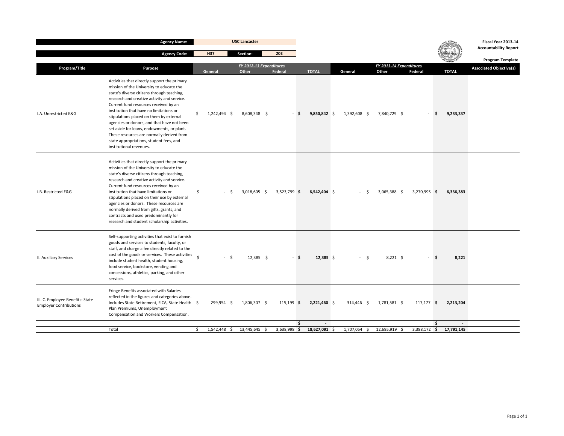|                                                                   | <b>Agency Name:</b>                                                                                                                                                                                                                                                                                                                                                                                                                                                                                                                 |                    |              | <b>USC Lancaster</b>             |              |      |                         |              |    |                                  |              |                                         | Fiscal Year 2013-14<br><b>Accountability Report</b> |
|-------------------------------------------------------------------|-------------------------------------------------------------------------------------------------------------------------------------------------------------------------------------------------------------------------------------------------------------------------------------------------------------------------------------------------------------------------------------------------------------------------------------------------------------------------------------------------------------------------------------|--------------------|--------------|----------------------------------|--------------|------|-------------------------|--------------|----|----------------------------------|--------------|-----------------------------------------|-----------------------------------------------------|
|                                                                   | <b>Agency Code:</b>                                                                                                                                                                                                                                                                                                                                                                                                                                                                                                                 |                    | <b>H37</b>   | Section:                         | <b>20E</b>   |      |                         |              |    |                                  |              |                                         | <b>Program Template</b>                             |
| Program/Title                                                     | <b>Purpose</b>                                                                                                                                                                                                                                                                                                                                                                                                                                                                                                                      |                    | General      | FY 2012-13 Expenditures<br>Other | Federal      |      | <b>TOTAL</b>            | General      |    | FY 2013-14 Expenditures<br>Other | Federal      | <b>TOTAL</b>                            | <b>Associated Objective(s)</b>                      |
| I.A. Unrestricted E&G                                             | Activities that directly support the primary<br>mission of the University to educate the<br>state's diverse citizens through teaching,<br>research and creative activity and service.<br>Current fund resources received by an<br>institution that have no limitations or<br>stipulations placed on them by external<br>agencies or donors, and that have not been<br>set aside for loans, endowments, or plant.<br>These resources are normally derived from<br>state appropriations, student fees, and<br>institutional revenues. | Ś.                 | 1,242,494 \$ | 8,608,348 \$                     |              | - S  | 9,850,842 \$            | 1,392,608 \$ |    | 7,840,729 \$                     |              | 9,233,337                               |                                                     |
| I.B. Restricted E&G                                               | Activities that directly support the primary<br>mission of the University to educate the<br>state's diverse citizens through teaching,<br>research and creative activity and service.<br>Current fund resources received by an<br>institution that have limitations or<br>stipulations placed on their use by external<br>agencies or donors. These resources are<br>normally derived from gifts, grants, and<br>contracts and used predominantly for<br>research and student scholarship activities.                               | \$                 | S.           | $3,018,605$ \$                   | 3,523,799 \$ |      | $6,542,404$ \$          |              | -S | 3,065,388 \$                     | 3,270,995 \$ | 6,336,383                               |                                                     |
| II. Auxiliary Services                                            | Self-supporting activities that exist to furnish<br>goods and services to students, faculty, or<br>staff, and charge a fee directly related to the<br>cost of the goods or services. These activities<br>include student health, student housing,<br>food service, bookstore, vending and<br>concessions, athletics, parking, and other<br>services.                                                                                                                                                                                | $\dot{\mathbf{s}}$ | $-5$         | $12,385$ \$                      |              | - \$ | $12,385$ \$             | $-5$         |    | $8,221$ \$                       |              | 8,221                                   |                                                     |
| III. C. Employee Benefits: State<br><b>Employer Contributions</b> | Fringe Benefits associated with Salaries<br>reflected in the figures and categories above.<br>Includes State Retirement, FICA, State Health \$<br>Plan Premiums, Unemployment<br>Compensation and Workers Compensation.                                                                                                                                                                                                                                                                                                             |                    | 299,954 \$   | 1,806,307 \$                     | 115,199 \$   |      | $2,221,460$ \$          | 314,446 \$   |    | 1,781,581 \$                     | $117,177$ \$ | 2,213,204                               |                                                     |
|                                                                   | Total                                                                                                                                                                                                                                                                                                                                                                                                                                                                                                                               | \$                 | 1,542,448 \$ | 13,445,645 \$                    | 3,638,998 \$ | \$   | $\sim$<br>18,627,091 \$ | 1,707,054 \$ |    | 12,695,919 \$                    |              | \$<br>$\sim$<br>3,388,172 \$ 17,791,145 |                                                     |